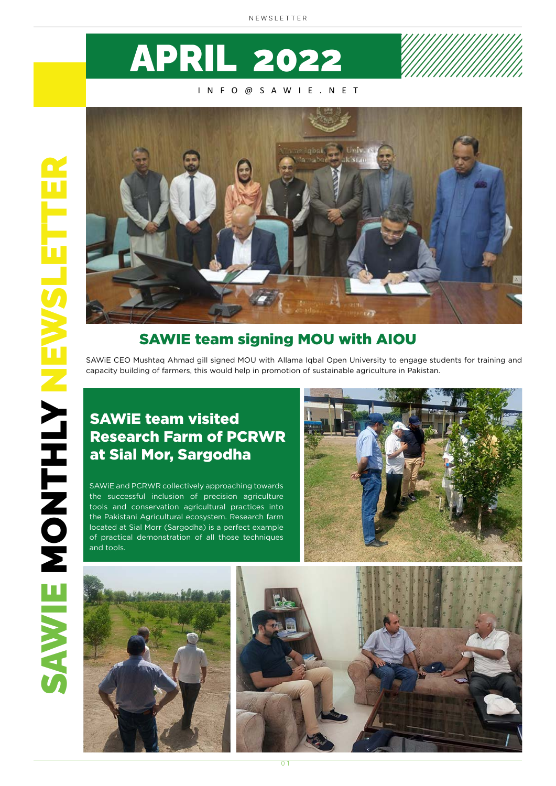

#### INFO@SAWIE.NET



### SAWIE team signing MOU with AIOU

SAWiE CEO Mushtaq Ahmad gill signed MOU with Allama Iqbal Open University to engage students for training and capacity building of farmers, this would help in promotion of sustainable agriculture in Pakistan.

### SAWiE team visited Research Farm of PCRWR at Sial Mor, Sargodha

SAWiE and PCRWR collectively approaching towards the successful inclusion of precision agriculture tools and conservation agricultural practices into the Pakistani Agricultural ecosystem. Research farm located at Sial Morr (Sargodha) is a perfect example of practical demonstration of all those techniques and tools.